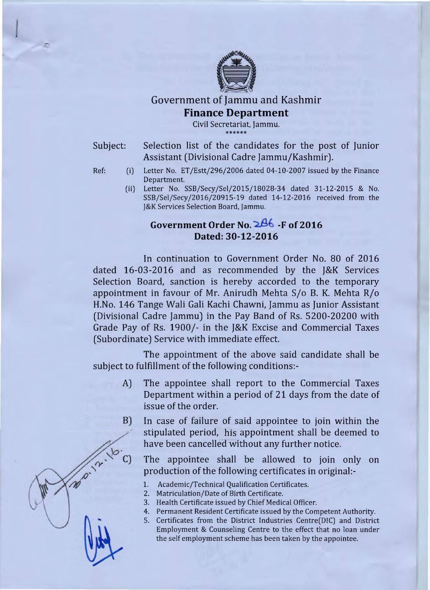

# Government of Jammu and Kashmir **Finance Department**

Civil Secretariat, Jammu. \* \* \* \* \* \*

Subject: Selection list of the candidates for the post of Junior Assistant (Divisional Cadre Jammu/Kashmir].

- Ref: (i) Letter No. ET/Estt/296/2006 dated 04-10-2007 issued by the Finance Department.
	- (ii) Letter No. SSB/Secy/Sel/2015/18028-34 dated 31-12-2015 & No. SSB/Sel/Secy/2016/20915-19 dated 14-12-2016 received from the J&K Services Selection Board, Jammu.

## Government Order No. 2<sup>86</sup> F of 2016 **Dated: 30-12-2016**

In continuation to Government Order No. 80 of 2016 dated 16-03-2016 and as recommended by the J&K Services Selection Board, sanction is hereby accorded to the temporary appointment in favour of Mr. Anirudh Mehta S/o B. K. Mehta R/o H.No. 146 Tange Wali Gali Kachi Chawni, Jammu as Junior Assistant (Divisional Cadre Jammu) in the Pay Band of Rs. 5200-20200 with Grade Pay of Rs. 1900/- in the J&K Excise and Commercial Taxes (Subordinate) Service with immediate effect.

The appointment of the above said candidate shall be subject to fulfillment of the following conditions:-

- A) The appointee shall report to the Commercial Taxes Department within a period of 21 days from the date of issue of the order.
- In case of failure of said appointee to join within the  $B)$ stipulated period, his appointment shall be deemed to have been cancelled without any further notice.

The appointee shall be allowed to join only on production of the following certificates in original:-

- 1. Academic/Technical Qualification Certificates.
- 2. Matriculation/Date of Birth Certificate.
- 3. Health Certificate issued by Chief Medical Officer.
- 4. Permanent Resident Certificate issued by the Competent Authority.
- 5. Certificates from the District Industries Centre(D!C] and District Employment & Counseling Centre to the effect that no loan under the self employment scheme has been taken by the appointee.